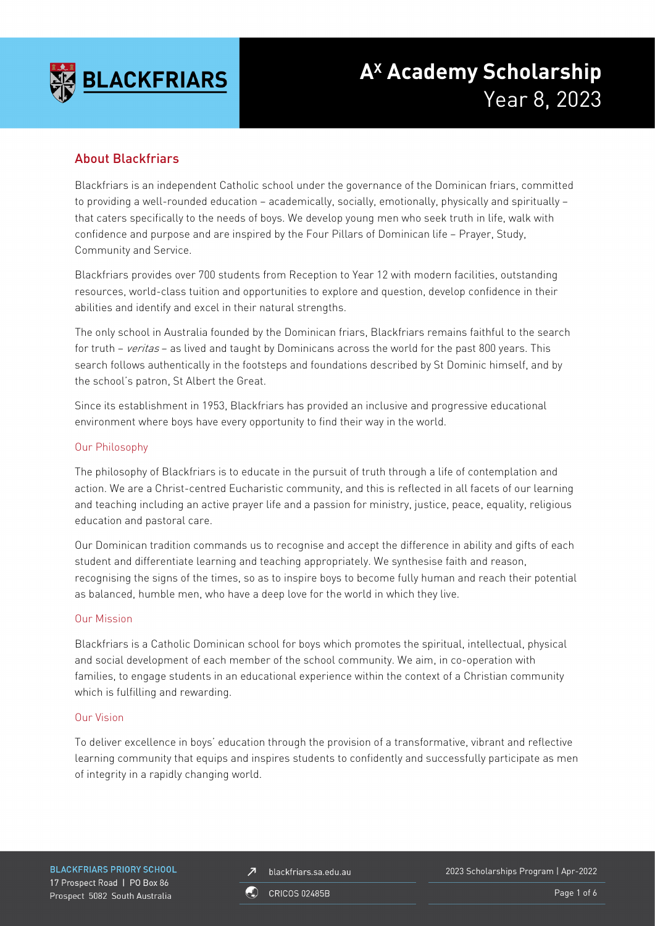

# **AX Academy Scholarship** Year 8, 2023

# About Blackfriars

Blackfriars is an independent Catholic school under the governance of the Dominican friars, committed to providing a well-rounded education – academically, socially, emotionally, physically and spiritually – that caters specifically to the needs of boys. We develop young men who seek truth in life, walk with confidence and purpose and are inspired by the Four Pillars of Dominican life – Prayer, Study, Community and Service.

Blackfriars provides over 700 students from Reception to Year 12 with modern facilities, outstanding resources, world-class tuition and opportunities to explore and question, develop confidence in their abilities and identify and excel in their natural strengths.

The only school in Australia founded by the Dominican friars, Blackfriars remains faithful to the search for truth – veritas – as lived and taught by Dominicans across the world for the past 800 years. This search follows authentically in the footsteps and foundations described by St Dominic himself, and by the school's patron, St Albert the Great.

Since its establishment in 1953, Blackfriars has provided an inclusive and progressive educational environment where boys have every opportunity to find their way in the world.

## Our Philosophy

The philosophy of Blackfriars is to educate in the pursuit of truth through a life of contemplation and action. We are a Christ-centred Eucharistic community, and this is reflected in all facets of our learning and teaching including an active prayer life and a passion for ministry, justice, peace, equality, religious education and pastoral care.

Our Dominican tradition commands us to recognise and accept the difference in ability and gifts of each student and differentiate learning and teaching appropriately. We synthesise faith and reason, recognising the signs of the times, so as to inspire boys to become fully human and reach their potential as balanced, humble men, who have a deep love for the world in which they live.

#### Our Mission

Blackfriars is a Catholic Dominican school for boys which promotes the spiritual, intellectual, physical and social development of each member of the school community. We aim, in co-operation with families, to engage students in an educational experience within the context of a Christian community which is fulfilling and rewarding.

#### Our Vision

To deliver excellence in boys' education through the provision of a transformative, vibrant and reflective learning community that equips and inspires students to confidently and successfully participate as men of integrity in a rapidly changing world.

**BLACKFRIARS PRIORY SCHOOL** 17 Prospect Road | PO Box 86 Prospect 5082 South Australia

blackfriars.sa.edu.au  $\overline{\mathbf{z}}$ 

2023 Scholarships Program | Apr-2022

**CRICOS 02485B** 

Page 1 of 6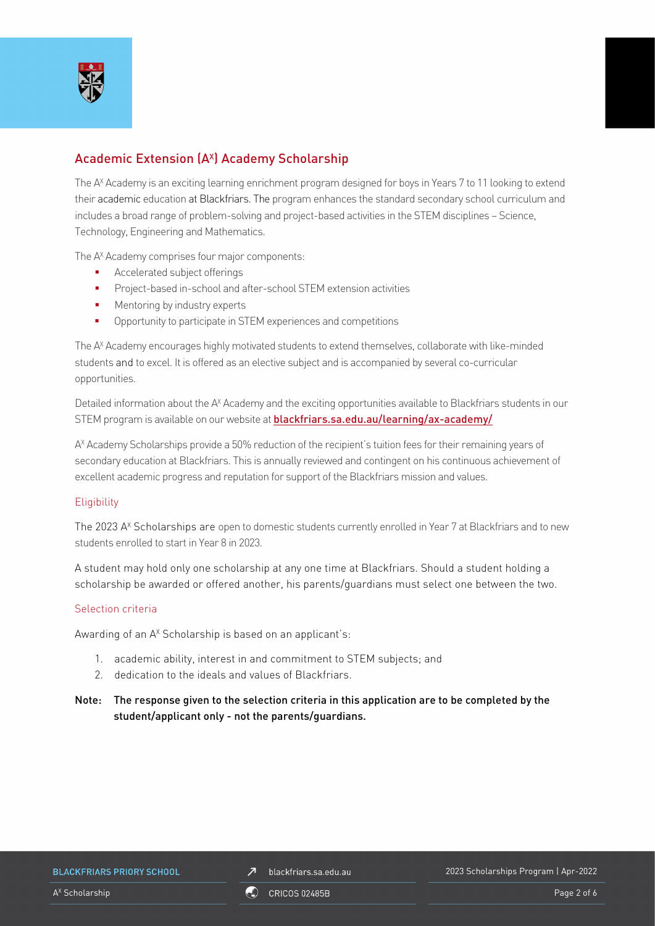

# Academic Extension (A<sup>x</sup>) Academy Scholarship

The A<sup>x</sup> Academy is an exciting learning enrichment program designed for boys in Years 7 to 11 looking to extend their academic education at Blackfriars. The program enhances the standard secondary school curriculum and includes a broad range of problem-solving and project-based activities in the STEM disciplines – Science, Technology, Engineering and Mathematics.

The A<sup>x</sup> Academy comprises four major components:

- Accelerated subject offerings
- Project-based in-school and after-school STEM extension activities
- **Mentoring by industry experts**
- Opportunity to participate in STEM experiences and competitions

The AX Academy encourages highly motivated students to extend themselves, collaborate with like-minded students and to excel. It is offered as an elective subject and is accompanied by several co-curricular opportunities.

Detailed information about the A<sup>x</sup> Academy and the exciting opportunities available to Blackfriars students in our STEM program is available on our website at **[blackfriars.sa.edu.au/learning/ax-academy/](https://blackfriars.sa.edu.au/learning/ax-academy/)** 

A<sup>x</sup> Academy Scholarships provide a 50% reduction of the recipient's tuition fees for their remaining years of secondary education at Blackfriars. This is annually reviewed and contingent on his continuous achievement of excellent academic progress and reputation for support of the Blackfriars mission and values.

#### **Eligibility**

The 2023 A<sup>x</sup> Scholarships are open to domestic students currently enrolled in Year 7 at Blackfriars and to new students enrolled to start in Year 8 in 2023.

A student may hold only one scholarship at any one time at Blackfriars. Should a student holding a scholarship be awarded or offered another, his parents/guardians must select one between the two.

#### Selection criteria

Awarding of an A<sup>x</sup> Scholarship is based on an applicant's:

- 1. academic ability, interest in and commitment to STEM subjects; and
- 2. dedication to the ideals and values of Blackfriars.

## Note: The response given to the selection criteria in this application are to be completed by the student/applicant only - not the parents/guardians.

#### **BLACKFRIARS PRIORY SCHOOL**

#### 2023 Scholarships Program | Apr-2022

A<sup>x</sup> Scholarship Page 2 of 6 and 2 of 6 and 2 of 6 and 2 of 6 and 2 of 6 and 2 of 6 and 2 of 6 and 2 of 6 and 2 of 6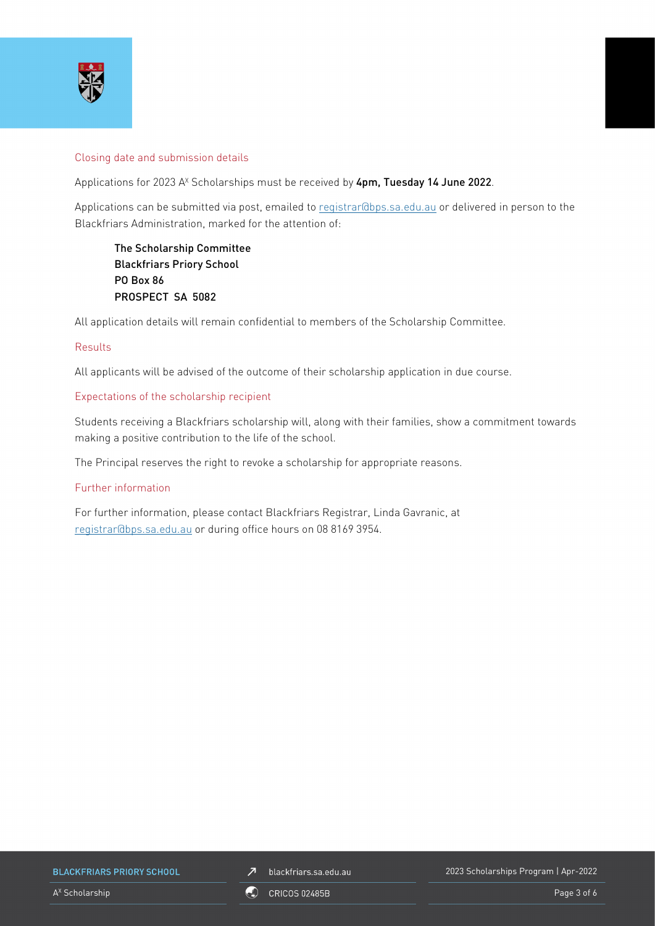

#### Closing date and submission details

Applications for 2023 A<sup>x</sup> Scholarships must be received by 4pm, Tuesday 14 June 2022.

Applications can be submitted via post, emailed to [registrar@bps.sa.edu.au](mailto:registrar@bps.sa.edu.au) or delivered in person to the Blackfriars Administration, marked for the attention of:

The Scholarship Committee Blackfriars Priory School PO Box 86 PROSPECT SA 5082

All application details will remain confidential to members of the Scholarship Committee.

#### Results

All applicants will be advised of the outcome of their scholarship application in due course.

#### Expectations of the scholarship recipient

Students receiving a Blackfriars scholarship will, along with their families, show a commitment towards making a positive contribution to the life of the school.

The Principal reserves the right to revoke a scholarship for appropriate reasons.

#### Further information

For further information, please contact Blackfriars Registrar, Linda Gavranic, at [registrar@bps.sa.edu.au](mailto:registrar@bps.sa.edu.au) or during office hours on 08 8169 3954.

**BLACKFRIARS PRIORY SCHOOL** 

 $\n *J*\n blackfriars.sa.edu.au\n$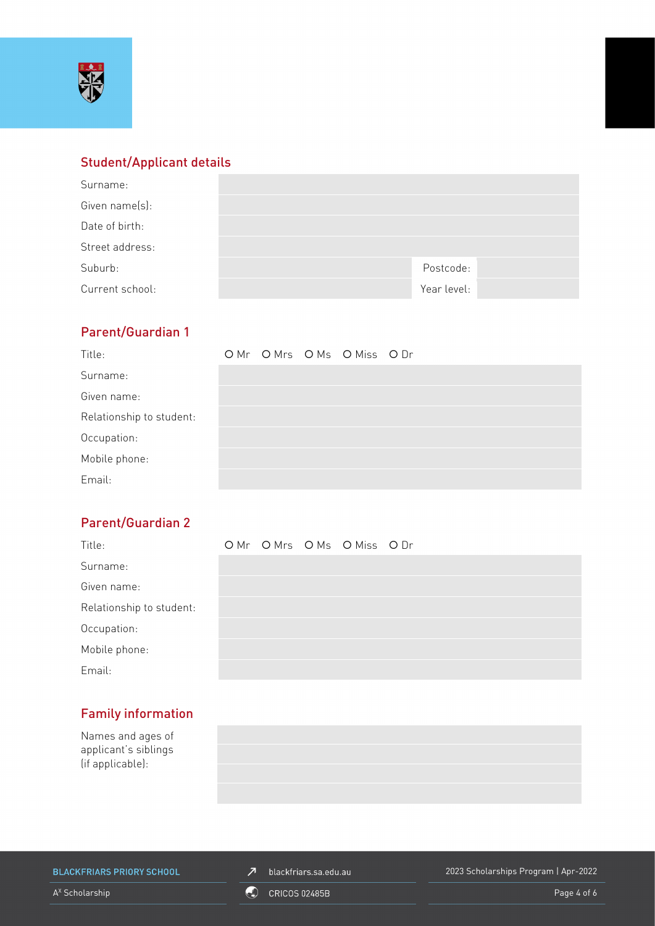

# Student/Applicant details

| Surname:        |             |  |
|-----------------|-------------|--|
| Given name(s):  |             |  |
| Date of birth:  |             |  |
| Street address: |             |  |
| Suburb:         | Postcode:   |  |
| Current school: | Year level: |  |

# Parent/Guardian 1

| Title:                   |  | OMr OMrs OMs OMiss ODr |  |
|--------------------------|--|------------------------|--|
| Surname:                 |  |                        |  |
| Given name:              |  |                        |  |
| Relationship to student: |  |                        |  |
| Occupation:              |  |                        |  |
| Mobile phone:            |  |                        |  |
| Email:                   |  |                        |  |

# Parent/Guardian 2

| Title:                   |  | OMr OMrs OMs OMiss ODr |  |
|--------------------------|--|------------------------|--|
| Surname:                 |  |                        |  |
| Given name:              |  |                        |  |
| Relationship to student: |  |                        |  |
| Occupation:              |  |                        |  |
| Mobile phone:            |  |                        |  |
| Email:                   |  |                        |  |

# Family information

Names and ages of applicant's siblings (if applicable):



**BLACKFRIARS PRIORY SCHOOL** 

 $\n *J*\n blackfriars.sa.edu.au\n$ 

2023 Scholarships Program | Apr-2022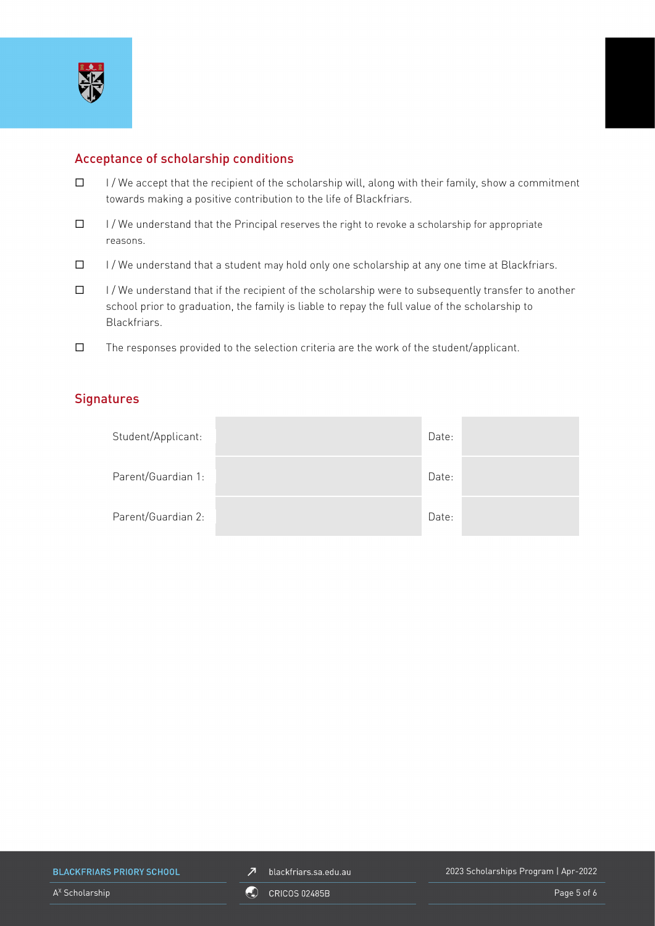

# Acceptance of scholarship conditions

- $\Box$  I/We accept that the recipient of the scholarship will, along with their family, show a commitment towards making a positive contribution to the life of Blackfriars.
- $\Box$  I/We understand that the Principal reserves the right to revoke a scholarship for appropriate reasons.
- $\Box$  I/We understand that a student may hold only one scholarship at any one time at Blackfriars.
- $\Box$  I/We understand that if the recipient of the scholarship were to subsequently transfer to another school prior to graduation, the family is liable to repay the full value of the scholarship to Blackfriars.
- $\square$  The responses provided to the selection criteria are the work of the student/applicant.

## **Signatures**

| Student/Applicant: | Date: |  |
|--------------------|-------|--|
| Parent/Guardian 1: | Date: |  |
| Parent/Guardian 2: | Date: |  |

**BLACKFRIARS PRIORY SCHOOL**